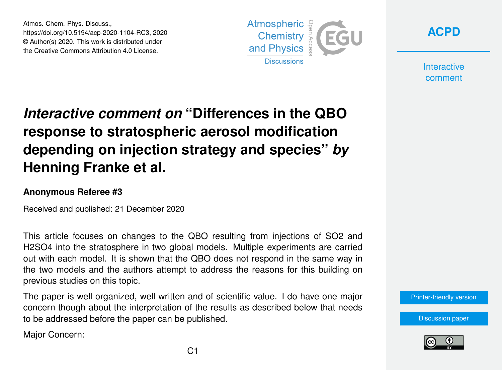Atmos. Chem. Phys. Discuss., https://doi.org/10.5194/acp-2020-1104-RC3, 2020 © Author(s) 2020. This work is distributed under the Creative Commons Attribution 4.0 License.





**Interactive** comment

## *Interactive comment on* **"Differences in the QBO response to stratospheric aerosol modification depending on injection strategy and species"** *by* **Henning Franke et al.**

## **Anonymous Referee #3**

Received and published: 21 December 2020

This article focuses on changes to the QBO resulting from injections of SO2 and H2SO4 into the stratosphere in two global models. Multiple experiments are carried out with each model. It is shown that the QBO does not respond in the same way in the two models and the authors attempt to address the reasons for this building on previous studies on this topic.

The paper is well organized, well written and of scientific value. I do have one major concern though about the interpretation of the results as described below that needs to be addressed before the paper can be published.

Major Concern:



[Discussion paper](https://acp.copernicus.org/preprints/acp-2020-1104)